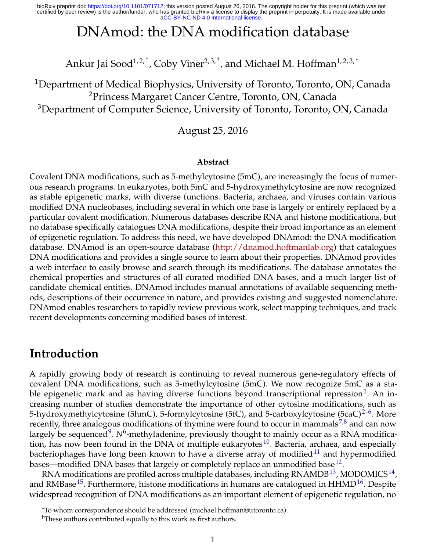# DNAmod: the DNA modification database

Ankur Jai Sood $^{1,2,^\dagger}$ , Coby Viner $^{2,3,^\dagger}$ , and Michael M. Hoffman $^{1,2,3,^\ast}$ 

<sup>1</sup>Department of Medical Biophysics, University of Toronto, Toronto, ON, Canada <sup>2</sup>Princess Margaret Cancer Centre, Toronto, ON, Canada <sup>3</sup>Department of Computer Science, University of Toronto, Toronto, ON, Canada

August 25, 2016

#### **Abstract**

Covalent DNA modifications, such as 5-methylcytosine (5mC), are increasingly the focus of numerous research programs. In eukaryotes, both 5mC and 5-hydroxymethylcytosine are now recognized as stable epigenetic marks, with diverse functions. Bacteria, archaea, and viruses contain various modified DNA nucleobases, including several in which one base is largely or entirely replaced by a particular covalent modification. Numerous databases describe RNA and histone modifications, but no database specifically catalogues DNA modifications, despite their broad importance as an element of epigenetic regulation. To address this need, we have developed DNAmod: the DNA modification database. DNAmod is an open-source database [\(http://dnamod.hoffmanlab.org\)](http://dnamod.hoffmanlab.org) that catalogues DNA modifications and provides a single source to learn about their properties. DNAmod provides a web interface to easily browse and search through its modifications. The database annotates the chemical properties and structures of all curated modified DNA bases, and a much larger list of candidate chemical entities. DNAmod includes manual annotations of available sequencing methods, descriptions of their occurrence in nature, and provides existing and suggested nomenclature. DNAmod enables researchers to rapidly review previous work, select mapping techniques, and track recent developments concerning modified bases of interest.

## **Introduction**

A rapidly growing body of research is continuing to reveal numerous gene-regulatory effects of covalent DNA modifications, such as 5-methylcytosine (5mC). We now recognize 5mC as a stable epigenetic mark and as having diverse functions beyond transcriptional repression $^1$  $^1$ . An increasing number of studies demonstrate the importance of other cytosine modifications, such as 5-hydroxymethylcytosine (5hmC), 5-formylcytosine (5fC), and 5-carboxylcytosine (5caC)<sup>[2](#page-9-1)[–6](#page-10-0)</sup>. More recently, three analogous modifications of thymine were found to occur in mammals<sup>[7](#page-10-1)[,8](#page-10-2)</sup> and can now largely be sequenced<sup>[9](#page-10-3)</sup>. N<sup>6</sup>-methyladenine, previously thought to mainly occur as a RNA modifica-tion, has now been found in the DNA of multiple eukaryotes<sup>[10](#page-10-4)</sup>. Bacteria, archaea, and especially bacteriophages have long been known to have a diverse array of modified<sup>[11](#page-10-5)</sup> and hypermodified bases—modified DNA bases that largely or completely replace an unmodified base $^{12}.$  $^{12}.$  $^{12}.$ 

RNA modifications are profiled across multiple databases, including RNAMDB $^{13}$  $^{13}$  $^{13}$ , MODOMICS $^{14}$  $^{14}$  $^{14}$ , and RMBase<sup>[15](#page-10-9)</sup>. Furthermore, histone modifications in humans are catalogued in  $HHMD<sup>16</sup>$  $HHMD<sup>16</sup>$  $HHMD<sup>16</sup>$ . Despite widespread recognition of DNA modifications as an important element of epigenetic regulation, no

<sup>\*</sup>To whom correspondence should be addressed [\(michael.hoffman@utoronto.ca\)](mailto:michael.hoffman@utoronto.ca).

<sup>&</sup>lt;sup>†</sup>These authors contributed equally to this work as first authors.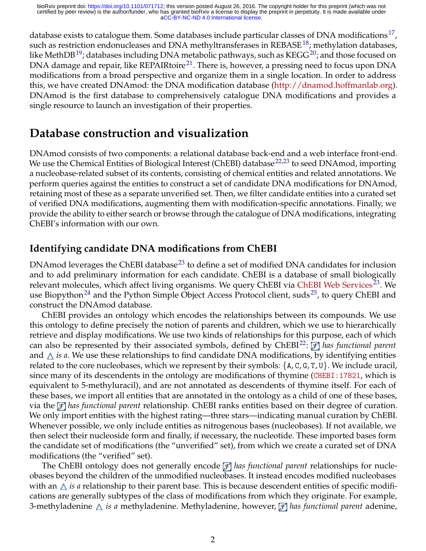database exists to catalogue them. Some databases include particular classes of DNA modifications  $^{17}$  $^{17}$  $^{17}$  , such as restriction endonucleases and DNA methyltransferases in REBASE<sup>[18](#page-10-12)</sup>; methylation databases, like MethDB<sup>[19](#page-11-0)</sup>; databases including DNA metabolic pathways, such as KEGG<sup>[20](#page-11-1)</sup>; and those focused on DNA damage and repair, like REPAIRtoire<sup>[21](#page-11-2)</sup>. There is, however, a pressing need to focus upon DNA modifications from a broad perspective and organize them in a single location. In order to address this, we have created DNAmod: the DNA modification database [\(http://dnamod.hoffmanlab.org\)](http://dnamod.hoffmanlab.org). DNAmod is the first database to comprehensively catalogue DNA modifications and provides a single resource to launch an investigation of their properties.

## **Database construction and visualization**

DNAmod consists of two components: a relational database back-end and a web interface front-end. We use the Chemical Entities of Biological Interest (ChEBI) database  $22,23$  $22,23$  to seed DNAmod, importing a nucleobase-related subset of its contents, consisting of chemical entities and related annotations. We perform queries against the entities to construct a set of candidate DNA modifications for DNAmod, retaining most of these as a separate unverified set. Then, we filter candidate entities into a curated set of verified DNA modifications, augmenting them with modification-specific annotations. Finally, we provide the ability to either search or browse through the catalogue of DNA modifications, integrating ChEBI's information with our own.

## **Identifying candidate DNA modifications from ChEBI**

DNAmod leverages the ChEBI database<sup>[23](#page-11-4)</sup> to define a set of modified DNA candidates for inclusion and to add preliminary information for each candidate. ChEBI is a database of small biologically relevant molecules, which affect living organisms. We query ChEBI via [ChEBI Web Services](https://www.ebi.ac.uk/chebi/webServices.do)<sup>[23](#page-11-4)</sup>. We use Biopython<sup>[24](#page-11-5)</sup> and the Python Simple Object Access Protocol client, suds<sup>[25](#page-11-6)</sup>, to query ChEBI and construct the DNAmod database.

ChEBI provides an ontology which encodes the relationships between its compounds. We use this ontology to define precisely the notion of parents and children, which we use to hierarchically retrieve and display modifications. We use two kinds of relationships for this purpose, each of which can also be represented by their associated symbols, defined by ChEBI[22](#page-11-3): *has functional parent* and  $\triangle$  *is a*. We use these relationships to find candidate DNA modifications, by identifying entities related to the core nucleobases, which we represent by their symbols:  $\{A, C, G, T, U\}$ . We include uracil, since many of its descendents in the ontology are modifications of thymine (CHEBI: 17821, which is equivalent to 5-methyluracil), and are not annotated as descendents of thymine itself. For each of these bases, we import all entities that are annotated in the ontology as a child of one of these bases, via the *has functional parent* relationship. ChEBI ranks entities based on their degree of curation. We only import entities with the highest rating—three stars—indicating manual curation by ChEBI. Whenever possible, we only include entities as nitrogenous bases (nucleobases). If not available, we then select their nucleoside form and finally, if necessary, the nucleotide. These imported bases form the candidate set of modifications (the "unverified" set), from which we create a curated set of DNA modifications (the "verified" set).

The ChEBI ontology does not generally encode *f* has functional parent relationships for nucleobases beyond the children of the unmodified nucleobases. It instead encodes modified nucleobases with an  $\triangle$  *is a* relationship to their parent base. This is because descendent entities of specific modifications are generally subtypes of the class of modifications from which they originate. For example, 3-methyladenine ∆ *is a* methyladenine. Methyladenine, however, *¶ has functional parent* adenine,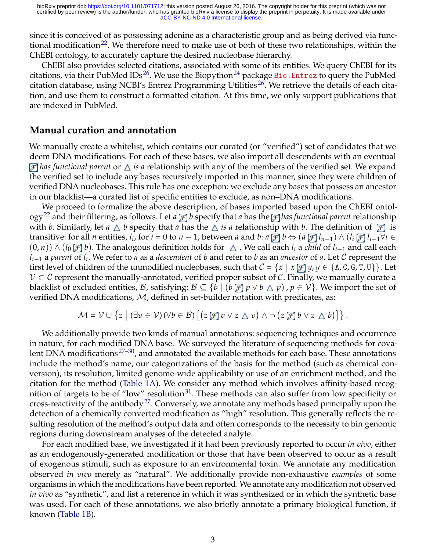since it is conceived of as possessing adenine as a characteristic group and as being derived via func-tional modification<sup>[22](#page-11-3)</sup>. We therefore need to make use of both of these two relationships, within the ChEBI ontology, to accurately capture the desired nucleobase hierarchy.

ChEBI also provides selected citations, associated with some of its entities. We query ChEBI for its citations, via their PubMed IDs<sup>[26](#page-11-7)</sup>. We use the Biopython<sup>[24](#page-11-5)</sup> package Bio. Entrez to query the PubMed citation database, using NCBI's Entrez Programming Utilities<sup>[26](#page-11-7)</sup>. We retrieve the details of each citation, and use them to construct a formatted citation. At this time, we only support publications that are indexed in PubMed.

#### **Manual curation and annotation**

We manually create a whitelist, which contains our curated (or "verified") set of candidates that we deem DNA modifications. For each of these bases, we also import all descendents with an eventual *F has functional parent* or  $\triangle$  *is a* relationship with any of the members of the verified set. We expand the verified set to include any bases recursively imported in this manner, since they were children of verified DNA nucleobases. This rule has one exception: we exclude any bases that possess an ancestor in our blacklist—a curated list of specific entities to exclude, as non–DNA modifications.

We proceed to formalize the above description, of bases imported based upon the ChEBI ontol- $\log y^{22}$  $\log y^{22}$  $\log y^{22}$  and their filtering, as follows. Let *a f b* specify that *a* has the *f has functional parent relationship* with *b*. Similarly, let  $a \Delta b$  specify that  $a$  has the  $\Delta$  *is a* relationship with *b*. The definition of  $\boxed{\mathcal{F}}$  is transitive: for all *n* entities, *l<sub>i</sub>*, for  $i = 0$  to  $n - 1$ , between *a* and *b*:  $a \nsubseteq b \Leftrightarrow (a \nsubseteq l_{n-1}) \wedge (l_i \nsubseteq l_{i-1} \forall i \in$  $(0, n)$ ) ∧ ( $l_0$   $\overline{F}$  *b*). The analogous definition holds for  $\Delta$ . We call each  $l_i$  a *child* of  $l_{i-1}$  and call each *li*−<sup>1</sup> a *parent* of *l<sup>i</sup>* . We refer to *a* as a *descendent* of *b* and refer to *b* as an *ancestor* of *a*. Let C represent the first level of children of the unmodified nucleobases, such that  $C = \{x \mid x \in f, y, y \in \{A, C, G, T, U\}\}\$ . Let  $V \subset \mathcal{C}$  represent the manually-annotated, verified proper subset of  $\mathcal{C}$ . Finally, we manually curate a blacklist of excluded entities, B, satisfying:  $B \subseteq \{b \mid (b \mid \mathcal{F} \mid p \lor b \triangle p)$ ,  $p \in \mathcal{V}\}\)$ . We import the set of verified DNA modifications, M, defined in set-builder notation with predicates, as:

<span id="page-2-0"></span>
$$
\mathcal{M} = \mathcal{V} \cup \{ z \mid (\exists v \in \mathcal{V}) (\forall b \in \mathcal{B}) \left[ (z \mathbf{F} v \lor z \triangle v) \land \neg (z \mathbf{F} b \lor z \triangle b) \right] \}.
$$

We additionally provide two kinds of manual annotations: sequencing techniques and occurrence in nature, for each modified DNA base. We surveyed the literature of sequencing methods for cova-lent DNA modifications<sup>[27–](#page-11-8)[30](#page-11-9)</sup>, and annotated the available methods for each base. These annotations include the method's name, our categorizations of the basis for the method (such as chemical conversion), its resolution, limited genome-wide applicability or use of an enrichment method, and the citation for the method [\(Table 1A\)](#page-4-0). We consider any method which involves affinity-based recognition of targets to be of "low" resolution $31$ . These methods can also suffer from low specificity or cross-reactivity of the antibody<sup>[27](#page-11-8)</sup>. Conversely, we annotate any methods based principally upon the detection of a chemically converted modification as "high" resolution. This generally reflects the resulting resolution of the method's output data and often corresponds to the necessity to bin genomic regions during downstream analyses of the detected analyte.

<span id="page-2-1"></span>For each modified base, we investigated if it had been previously reported to occur *in vivo*, either as an endogenously-generated modification or those that have been observed to occur as a result of exogenous stimuli, such as exposure to an environmental toxin. We annotate any modification observed *in vivo* merely as "natural". We additionally provide non-exhaustive *examples* of some organisms in which the modifications have been reported. We annotate any modification not observed *in vivo* as "synthetic", and list a reference in which it was synthesized or in which the synthetic base was used. For each of these annotations, we also briefly annotate a primary biological function, if known [\(Table 1B\)](#page-4-1).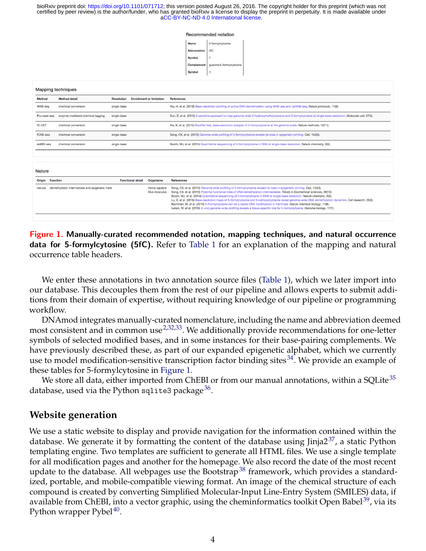> **Recommended notation** 5-formylcytosine 5fC

<span id="page-3-0"></span>

| <b>Method</b>          | <b>Method detail</b>             | Resolution  | <b>Enrichment or limitation</b>              | <b>References</b>                                                                                                                                            |
|------------------------|----------------------------------|-------------|----------------------------------------------|--------------------------------------------------------------------------------------------------------------------------------------------------------------|
| MAB-sea                | chemical conversion              | single-base |                                              | Wu, H, et al. (2016) Base-resolution profiling of active DNA demethylation using MAB-seq and caMAB-seq. Nature protocols, 11(6).                             |
| Pvu-seal-seg           | enzyme-mediated chemical tagging | single-base |                                              | Sun, Z, et al. (2015) A sensitive approach to map genome-wide 5-hydroxymethylcytosine and 5-formylcytosine at single-base resolution. Molecular cell, 57(4). |
| fC-CET                 | chemical conversion              | single-base |                                              | Xia, B, et al. (2015) Bisulfite-free, base-resolution analysis of 5-formylcytosine at the genome scale. Nature methods, 12(11).                              |
| fCAB-sea               | chemical conversion              | single-base |                                              | Song, CX, et al. (2013) Genome-wide profiling of 5-formylcytosine reveals its roles in epigenetic priming. Cell, 153(3).                                     |
| redBS-seg              | chemical conversion              | single-base |                                              | Booth, MJ, et al. (2014) Quantitative sequencing of 5-formylcytosine in DNA at single-base resolution. Nature chemistry, 6(5).                               |
| <b>Nature</b>          |                                  |             |                                              |                                                                                                                                                              |
|                        |                                  |             |                                              |                                                                                                                                                              |
| <b>Origin Function</b> |                                  |             | <b>Functional detail</b><br><b>Organisms</b> | <b>References</b>                                                                                                                                            |

Figure 1. Manually-curated recommended notation, mapping techniques, and natural occurrence data for 5-formylcytosine (5fC). Refer to [Table 1](#page-4-2) for an explanation of the mapping and natural occurrence table headers.

We enter these annotations in two annotation source files [\(Table 1\)](#page-4-2), which we later import into our database. This decouples them from the rest of our pipeline and allows experts to submit additions from their domain of expertise, without requiring knowledge of our pipeline or programming workflow.

DNAmod integrates manually-curated nomenclature, including the name and abbreviation deemed most consistent and in common use  $2,32,33$  $2,32,33$  $2,32,33$ . We additionally provide recommendations for one-letter symbols of selected modified bases, and in some instances for their base-pairing complements. We have previously described these, as part of our expanded epigenetic alphabet, which we currently use to model modification-sensitive transcription factor binding sites  $34$ . We provide an example of these tables for 5-formylcytosine in [Figure 1.](#page-3-0)

We store all data, either imported from ChEBI or from our manual annotations, within a SQLite<sup>[35](#page-12-0)</sup> database, used via the Python sqlite3 package $^{36}\!.$  $^{36}\!.$  $^{36}\!.$ 

### **Website generation**

We use a static website to display and provide navigation for the information contained within the database. We generate it by formatting the content of the database using Jinja $2^{37}$  $2^{37}$  $2^{37}$ , a static Python templating engine. Two templates are sufficient to generate all HTML files. We use a single template for all modification pages and another for the homepage. We also record the date of the most recent update to the database. All webpages use the Bootstrap<sup>[38](#page-12-3)</sup> framework, which provides a standardized, portable, and mobile-compatible viewing format. An image of the chemical structure of each compound is created by converting Simplified Molecular-Input Line-Entry System (SMILES) data, if available from ChEBI, into a vector graphic, using the cheminformatics toolkit Open Babel<sup>[39](#page-12-4)</sup>, via its Python wrapper Pybel $^{40}$  $^{40}$  $^{40}$ .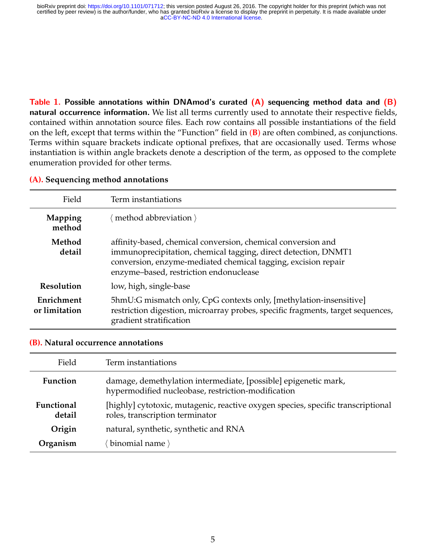<span id="page-4-2"></span>Table 1. Possible annotations within DNAmod's curated  $(A)$  sequencing method data and  $(B)$ natural occurrence information. We list all terms currently used to annotate their respective fields, contained within annotation source files. Each row contains all possible instantiations of the field on the left, except that terms within the "Function" field in (**B**) are often combined, as conjunctions. Terms within square brackets indicate optional prefixes, that are occasionally used. Terms whose instantiation is within angle brackets denote a description of the term, as opposed to the complete enumeration provided for other terms.

#### <span id="page-4-0"></span>**(A). Sequencing method annotations**

| Field                                              | Term instantiations                                                                                                                                                                                                                       |  |  |
|----------------------------------------------------|-------------------------------------------------------------------------------------------------------------------------------------------------------------------------------------------------------------------------------------------|--|--|
| method abbreviation $\rangle$<br>Mapping<br>method |                                                                                                                                                                                                                                           |  |  |
| Method<br>detail                                   | affinity-based, chemical conversion, chemical conversion and<br>immunoprecipitation, chemical tagging, direct detection, DNMT1<br>conversion, enzyme-mediated chemical tagging, excision repair<br>enzyme-based, restriction endonuclease |  |  |
| Resolution                                         | low, high, single-base                                                                                                                                                                                                                    |  |  |
| Enrichment<br>or limitation                        | 5hmU:G mismatch only, CpG contexts only, [methylation-insensitive]<br>restriction digestion, microarray probes, specific fragments, target sequences,<br>gradient stratification                                                          |  |  |

#### <span id="page-4-1"></span>**(B). Natural occurrence annotations**

| Field                | Term instantiations                                                                                                   |  |  |
|----------------------|-----------------------------------------------------------------------------------------------------------------------|--|--|
| <b>Function</b>      | damage, demethylation intermediate, [possible] epigenetic mark,<br>hypermodified nucleobase, restriction-modification |  |  |
| Functional<br>detail | [highly] cytotoxic, mutagenic, reactive oxygen species, specific transcriptional<br>roles, transcription terminator   |  |  |
| Origin               | natural, synthetic, synthetic and RNA                                                                                 |  |  |
| Organism             | binomial name $\rangle$                                                                                               |  |  |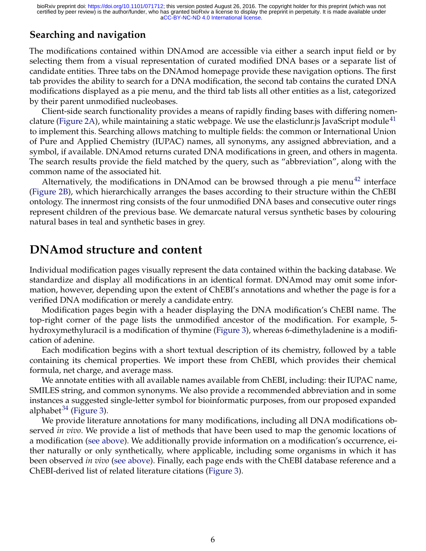### **Searching and navigation**

The modifications contained within DNAmod are accessible via either a search input field or by selecting them from a visual representation of curated modified DNA bases or a separate list of candidate entities. Three tabs on the DNAmod homepage provide these navigation options. The first tab provides the ability to search for a DNA modification, the second tab contains the curated DNA modifications displayed as a pie menu, and the third tab lists all other entities as a list, categorized by their parent unmodified nucleobases.

Client-side search functionality provides a means of rapidly finding bases with differing nomen-clature [\(Figure 2A\)](#page-6-0), while maintaining a static webpage. We use the elasticlunr. is JavaScript module<sup>[41](#page-12-6)</sup> to implement this. Searching allows matching to multiple fields: the common or International Union of Pure and Applied Chemistry (IUPAC) names, all synonyms, any assigned abbreviation, and a symbol, if available. DNAmod returns curated DNA modifications in green, and others in magenta. The search results provide the field matched by the query, such as "abbreviation", along with the common name of the associated hit.

Alternatively, the modifications in DNAmod can be browsed through a pie menu<sup>[42](#page-12-7)</sup> interface [\(Figure 2B\)](#page-6-1), which hierarchically arranges the bases according to their structure within the ChEBI ontology. The innermost ring consists of the four unmodified DNA bases and consecutive outer rings represent children of the previous base. We demarcate natural versus synthetic bases by colouring natural bases in teal and synthetic bases in grey.

## **DNAmod structure and content**

Individual modification pages visually represent the data contained within the backing database. We standardize and display all modifications in an identical format. DNAmod may omit some information, however, depending upon the extent of ChEBI's annotations and whether the page is for a verified DNA modification or merely a candidate entry.

Modification pages begin with a header displaying the DNA modification's ChEBI name. The top-right corner of the page lists the unmodified ancestor of the modification. For example, 5 hydroxymethyluracil is a modification of thymine [\(Figure 3\)](#page-7-0), whereas 6-dimethyladenine is a modification of adenine.

Each modification begins with a short textual description of its chemistry, followed by a table containing its chemical properties. We import these from ChEBI, which provides their chemical formula, net charge, and average mass.

We annotate entities with all available names available from ChEBI, including: their IUPAC name, SMILES string, and common synonyms. We also provide a recommended abbreviation and in some instances a suggested single-letter symbol for bioinformatic purposes, from our proposed expanded alphabet $34$  [\(Figure 3\)](#page-7-0).

We provide literature annotations for many modifications, including all DNA modifications observed *in vivo*. We provide a list of methods that have been used to map the genomic locations of a modification [\(see above\)](#page-2-0). We additionally provide information on a modification's occurrence, either naturally or only synthetically, where applicable, including some organisms in which it has been observed *in vivo* [\(see above\)](#page-2-1). Finally, each page ends with the ChEBI database reference and a ChEBI-derived list of related literature citations [\(Figure 3\)](#page-7-0).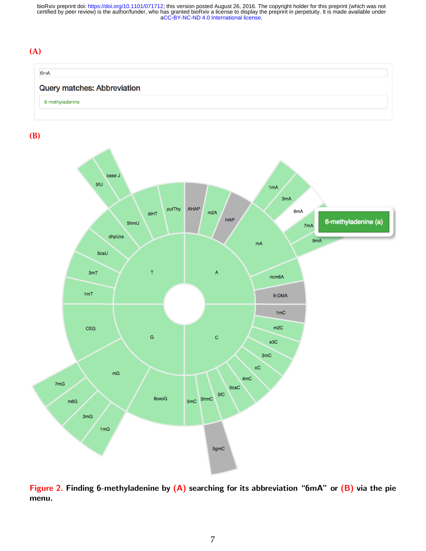#### <span id="page-6-0"></span>**(A)**

<span id="page-6-1"></span>

Figure 2. Finding 6-methyladenine by  $(A)$  searching for its abbreviation "6mA" or  $(B)$  via the pie menu.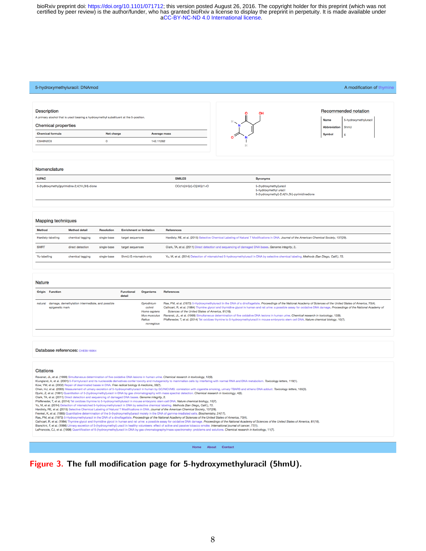#### <span id="page-7-0"></span>5-hydroxymethyluracil: DNAmod

A modification of thymine

| <b>Description</b>         |                                                                                         |                     | OH | Recommended notation |                       |  |
|----------------------------|-----------------------------------------------------------------------------------------|---------------------|----|----------------------|-----------------------|--|
|                            | A primary alcohol that is uracil bearing a hydroxymethyl substituent at the 5-position. |                     |    | Name                 | 5-hydroxymethyluracil |  |
| <b>Chemical properties</b> |                                                                                         |                     |    | <b>Abbreviation</b>  | 5hmU                  |  |
| <b>Chemical formula</b>    | Net charge                                                                              | <b>Average mass</b> |    | <b>Symbol</b>        | g                     |  |
| C5H6N2O3                   |                                                                                         | 142.11282           |    |                      |                       |  |
|                            |                                                                                         |                     | н  |                      |                       |  |

| Nomenclature                                 |                        |                                                                                                   |  |
|----------------------------------------------|------------------------|---------------------------------------------------------------------------------------------------|--|
| <b>IUPAC</b>                                 | <b>SMILES</b>          | <b>Synonyms</b>                                                                                   |  |
| 5-(hydroxymethyl)pyrimidine-2,4(1H,3H)-dione | OCc1c[nH]c(=O)[nH]c1=O | 5-(hydroxymethyl)uracil<br>5-hydroxymethyl uracil<br>5-(hydroxymethyl)-2,4(1h,3h)-pyrimidinedione |  |

| <b>Mapping techniques</b> |                      |                   |                                 |                                                                                                                                               |
|---------------------------|----------------------|-------------------|---------------------------------|-----------------------------------------------------------------------------------------------------------------------------------------------|
| Method                    | <b>Method detail</b> | <b>Resolution</b> | <b>Enrichment or limitation</b> | <b>References</b>                                                                                                                             |
| Hardisty-labelling        | chemical tagging     | single-base       | target sequences                | Hardisty, RE, et al. (2015) Selective Chemical Labeling of Natural T Modifications in DNA. Journal of the American Chemical Society, 137(29). |
| <b>SMRT</b>               | direct detection     | single-base       | target sequences                | Clark, TA, et al. (2011) Direct detection and sequencing of damaged DNA bases. Genome integrity, 2.                                           |
| Yu-labelling              | chemical tagging     | single-base       | 5hmU:G mismatch only            | Yu, M. et al. (2014) Detection of mismatched 5-hydroxymethyluracil in DNA by selective chemical labeling. Methods (San Diego, Calif.), 72.    |

| <b>Nature</b> |                                                                     |                             |                                                                              |                                                                                                                                                                                                                                                                                                                                                                                                                                                                                                                                                                                                                                                                                                       |
|---------------|---------------------------------------------------------------------|-----------------------------|------------------------------------------------------------------------------|-------------------------------------------------------------------------------------------------------------------------------------------------------------------------------------------------------------------------------------------------------------------------------------------------------------------------------------------------------------------------------------------------------------------------------------------------------------------------------------------------------------------------------------------------------------------------------------------------------------------------------------------------------------------------------------------------------|
|               | <b>Origin</b> Function                                              | <b>Functional</b><br>detail | <b>Organisms</b>                                                             | <b>References</b>                                                                                                                                                                                                                                                                                                                                                                                                                                                                                                                                                                                                                                                                                     |
| natural       | damage, demethylation intermediate, and possible<br>epigenetic mark |                             | Gyrodinium<br>cohnii<br>Homo sapiens<br>Mus musculus<br>Rattus<br>norvegicus | Rae, PM, et al. (1973) 5-Hydroxymethyluracil in the DNA of a dinoflagellate. Proceedings of the National Academy of Sciences of the United States of America, 70(4).<br>Cathcart, R. et al. (1984) Thymine glycol and thymidine glycol in human and rat urine: a possible assay for oxidative DNA damage. Proceedings of the National Academy of<br>Sciences of the United States of America, 81(18).<br>Ravanat, JL, et al. (1999) Simultaneous determination of five oxidative DNA lesions in human urine, Chemical research in toxicology, 12(9).<br>Pfaffeneder, T, et al. (2014) Tet oxidizes thymine to 5-hydroxymethyluracil in mouse embryonic stem cell DNA. Nature chemical biology, 10(7). |

#### Database references: CHEBI:16964

Figure 3. The full modification page for 5-hydroxymethyluracil (5hmU).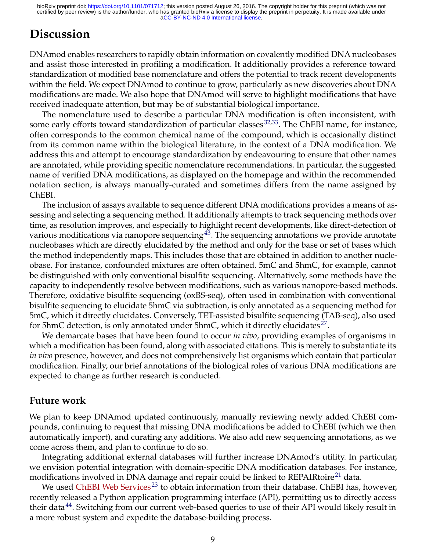## **Discussion**

DNAmod enables researchers to rapidly obtain information on covalently modified DNA nucleobases and assist those interested in profiling a modification. It additionally provides a reference toward standardization of modified base nomenclature and offers the potential to track recent developments within the field. We expect DNAmod to continue to grow, particularly as new discoveries about DNA modifications are made. We also hope that DNAmod will serve to highlight modifications that have received inadequate attention, but may be of substantial biological importance.

The nomenclature used to describe a particular DNA modification is often inconsistent, with some early efforts toward standardization of particular classes<sup>[32,](#page-11-11)[33](#page-11-12)</sup>. The ChEBI name, for instance, often corresponds to the common chemical name of the compound, which is occasionally distinct from its common name within the biological literature, in the context of a DNA modification. We address this and attempt to encourage standardization by endeavouring to ensure that other names are annotated, while providing specific nomenclature recommendations. In particular, the suggested name of verified DNA modifications, as displayed on the homepage and within the recommended notation section, is always manually-curated and sometimes differs from the name assigned by ChEBI.

The inclusion of assays available to sequence different DNA modifications provides a means of assessing and selecting a sequencing method. It additionally attempts to track sequencing methods over time, as resolution improves, and especially to highlight recent developments, like direct-detection of various modifications via nanopore sequencing<sup>[43](#page-12-8)</sup>. The sequencing annotations we provide annotate nucleobases which are directly elucidated by the method and only for the base or set of bases which the method independently maps. This includes those that are obtained in addition to another nucleobase. For instance, confounded mixtures are often obtained. 5mC and 5hmC, for example, cannot be distinguished with only conventional bisulfite sequencing. Alternatively, some methods have the capacity to independently resolve between modifications, such as various nanopore-based methods. Therefore, oxidative bisulfite sequencing (oxBS-seq), often used in combination with conventional bisulfite sequencing to elucidate 5hmC via subtraction, is only annotated as a sequencing method for 5mC, which it directly elucidates. Conversely, TET-assisted bisulfite sequencing (TAB-seq), also used for 5hmC detection, is only annotated under 5hmC, which it directly elucidates $^{27}$  $^{27}$  $^{27}$ .

We demarcate bases that have been found to occur *in vivo*, providing examples of organisms in which a modification has been found, along with associated citations. This is merely to substantiate its *in vivo* presence, however, and does not comprehensively list organisms which contain that particular modification. Finally, our brief annotations of the biological roles of various DNA modifications are expected to change as further research is conducted.

### **Future work**

We plan to keep DNAmod updated continuously, manually reviewing newly added ChEBI compounds, continuing to request that missing DNA modifications be added to ChEBI (which we then automatically import), and curating any additions. We also add new sequencing annotations, as we come across them, and plan to continue to do so.

Integrating additional external databases will further increase DNAmod's utility. In particular, we envision potential integration with domain-specific DNA modification databases. For instance, modifications involved in DNA damage and repair could be linked to  $REPAIR$ toire<sup>[21](#page-11-2)</sup> data.

We used [ChEBI Web Services](https://www.ebi.ac.uk/chebi/webServices.do)<sup>[23](#page-11-4)</sup> to obtain information from their database. ChEBI has, however, recently released a Python application programming interface (API), permitting us to directly access their data<sup>[44](#page-12-9)</sup>. Switching from our current web-based queries to use of their API would likely result in a more robust system and expedite the database-building process.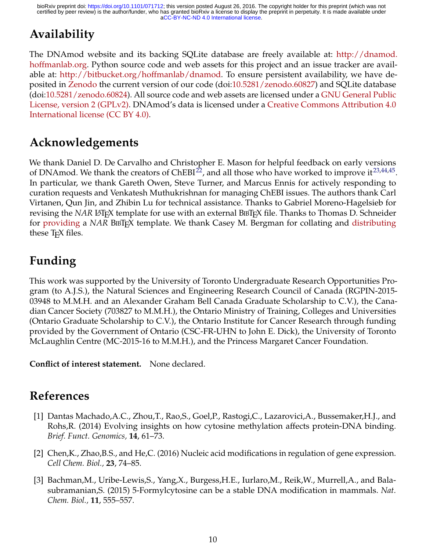# **Availability**

The DNAmod website and its backing SQLite database are freely available at: [http://dnamod.](http://dnamod.hoffmanlab.org) [hoffmanlab.org.](http://dnamod.hoffmanlab.org) Python source code and web assets for this project and an issue tracker are available at: [http://bitbucket.org/hoffmanlab/dnamod.](http://bitbucket.org/hoffmanlab/dnamod) To ensure persistent availability, we have deposited in [Zenodo](https://zenodo.org) the current version of our code (doi[:10.5281/zenodo.60827\)](http://dx.doi.org/10.5281/zenodo.60827) and SQLite database (doi[:10.5281/zenodo.60824\)](http://dx.doi.org/10.5281/zenodo.60824). All source code and web assets are licensed under a [GNU General Public](https://www.gnu.org/licenses/old-licenses/gpl-2.0.en.html) [License, version 2 \(GPLv2\).](https://www.gnu.org/licenses/old-licenses/gpl-2.0.en.html) DNAmod's data is licensed under a [Creative Commons Attribution 4.0](https://creativecommons.org/licenses/by/4.0/) [International license \(CC BY 4.0\).](https://creativecommons.org/licenses/by/4.0/)

## **Acknowledgements**

We thank Daniel D. De Carvalho and Christopher E. Mason for helpful feedback on early versions of DNAmod. We thank the creators of ChEBI<sup>[22](#page-11-3)</sup>, and all those who have worked to improve it<sup>[23,](#page-11-4)[44,](#page-12-9)[45](#page-12-10)</sup>. In particular, we thank Gareth Owen, Steve Turner, and Marcus Ennis for actively responding to curation requests and Venkatesh Muthukrishnan for managing ChEBI issues. The authors thank Carl Virtanen, Qun Jin, and Zhibin Lu for technical assistance. Thanks to Gabriel Moreno-Hagelsieb for revising the *NAR* LAT<sub>E</sub>X template for use with an external B<sub>IB</sub>T<sub>E</sub>X file. Thanks to Thomas D. Schneider for [providing](http://schneider.ncifcrf.gov/latex.html) a *NAR* BIBTEX template. We thank Casey M. Bergman for collating and [distributing](https://github.com/cbergman/bioinfLatexStyles) these T<sub>F</sub>X files.

# **Funding**

This work was supported by the University of Toronto Undergraduate Research Opportunities Program (to A.J.S.), the Natural Sciences and Engineering Research Council of Canada (RGPIN-2015- 03948 to M.M.H. and an Alexander Graham Bell Canada Graduate Scholarship to C.V.), the Canadian Cancer Society (703827 to M.M.H.), the Ontario Ministry of Training, Colleges and Universities (Ontario Graduate Scholarship to C.V.), the Ontario Institute for Cancer Research through funding provided by the Government of Ontario (CSC-FR-UHN to John E. Dick), the University of Toronto McLaughlin Centre (MC-2015-16 to M.M.H.), and the Princess Margaret Cancer Foundation.

**Conflict of interest statement.** None declared.

## **References**

- <span id="page-9-0"></span>[1] Dantas Machado,A.C., Zhou,T., Rao,S., Goel,P., Rastogi,C., Lazarovici,A., Bussemaker,H.J., and Rohs,R. (2014) Evolving insights on how cytosine methylation affects protein-DNA binding. *Brief. Funct. Genomics,* **14**, 61–73.
- <span id="page-9-1"></span>[2] Chen,K., Zhao,B.S., and He,C. (2016) Nucleic acid modifications in regulation of gene expression. *Cell Chem. Biol.,* **23**, 74–85.
- [3] Bachman,M., Uribe-Lewis,S., Yang,X., Burgess,H.E., Iurlaro,M., Reik,W., Murrell,A., and Balasubramanian,S. (2015) 5-Formylcytosine can be a stable DNA modification in mammals. *Nat. Chem. Biol.,* **11**, 555–557.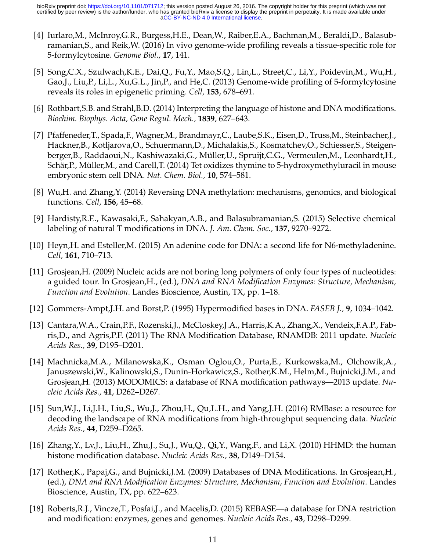- [4] Iurlaro,M., McInroy,G.R., Burgess,H.E., Dean,W., Raiber,E.A., Bachman,M., Beraldi,D., Balasubramanian,S., and Reik,W. (2016) In vivo genome-wide profiling reveals a tissue-specific role for 5-formylcytosine. *Genome Biol.,* **17**, 141.
- [5] Song,C.X., Szulwach,K.E., Dai,Q., Fu,Y., Mao,S.Q., Lin,L., Street,C., Li,Y., Poidevin,M., Wu,H., Gao,J., Liu,P., Li,L., Xu,G.L., Jin,P., and He,C. (2013) Genome-wide profiling of 5-formylcytosine reveals its roles in epigenetic priming. *Cell,* **153**, 678–691.
- <span id="page-10-0"></span>[6] Rothbart,S.B. and Strahl,B.D. (2014) Interpreting the language of histone and DNA modifications. *Biochim. Biophys. Acta, Gene Regul. Mech.,* **1839**, 627–643.
- <span id="page-10-1"></span>[7] Pfaffeneder,T., Spada,F., Wagner,M., Brandmayr,C., Laube,S.K., Eisen,D., Truss,M., Steinbacher,J., Hackner,B., Kotljarova,O., Schuermann,D., Michalakis,S., Kosmatchev,O., Schiesser,S., Steigenberger,B., Raddaoui,N., Kashiwazaki,G., Muller,U., Spruijt,C.G., Vermeulen,M., Leonhardt,H., ¨ Schär, P., Müller, M., and Carell, T. (2014) Tet oxidizes thymine to 5-hydroxymethyluracil in mouse embryonic stem cell DNA. *Nat. Chem. Biol.,* **10**, 574–581.
- <span id="page-10-2"></span>[8] Wu,H. and Zhang,Y. (2014) Reversing DNA methylation: mechanisms, genomics, and biological functions. *Cell,* **156**, 45–68.
- <span id="page-10-3"></span>[9] Hardisty,R.E., Kawasaki,F., Sahakyan,A.B., and Balasubramanian,S. (2015) Selective chemical labeling of natural T modifications in DNA. *J. Am. Chem. Soc.,* **137**, 9270–9272.
- <span id="page-10-4"></span>[10] Heyn,H. and Esteller,M. (2015) An adenine code for DNA: a second life for N6-methyladenine. *Cell,* **161**, 710–713.
- <span id="page-10-5"></span>[11] Grosjean, H. (2009) Nucleic acids are not boring long polymers of only four types of nucleotides: a guided tour. In Grosjean,H., (ed.), *DNA and RNA Modification Enzymes: Structure, Mechanism, Function and Evolution*. Landes Bioscience, Austin, TX, pp. 1–18.
- <span id="page-10-6"></span>[12] Gommers-Ampt,J.H. and Borst,P. (1995) Hypermodified bases in DNA. *FASEB J.,* **9**, 1034–1042.
- <span id="page-10-7"></span>[13] Cantara,W.A., Crain,P.F., Rozenski,J., McCloskey,J.A., Harris,K.A., Zhang,X., Vendeix,F.A.P., Fabris,D., and Agris,P.F. (2011) The RNA Modification Database, RNAMDB: 2011 update. *Nucleic Acids Res.,* **39**, D195–D201.
- <span id="page-10-8"></span>[14] Machnicka,M.A., Milanowska,K., Osman Oglou,O., Purta,E., Kurkowska,M., Olchowik,A., Januszewski,W., Kalinowski,S., Dunin-Horkawicz,S., Rother,K.M., Helm,M., Bujnicki,J.M., and Grosjean,H. (2013) MODOMICS: a database of RNA modification pathways—2013 update. *Nucleic Acids Res.,* **41**, D262–D267.
- <span id="page-10-9"></span>[15] Sun,W.J., Li,J.H., Liu,S., Wu,J., Zhou,H., Qu,L.H., and Yang,J.H. (2016) RMBase: a resource for decoding the landscape of RNA modifications from high-throughput sequencing data. *Nucleic Acids Res.,* **44**, D259–D265.
- <span id="page-10-10"></span>[16] Zhang,Y., Lv,J., Liu,H., Zhu,J., Su,J., Wu,Q., Qi,Y., Wang,F., and Li,X. (2010) HHMD: the human histone modification database. *Nucleic Acids Res.,* **38**, D149–D154.
- <span id="page-10-11"></span>[17] Rother,K., Papaj,G., and Bujnicki,J.M. (2009) Databases of DNA Modifications. In Grosjean,H., (ed.), *DNA and RNA Modification Enzymes: Structure, Mechanism, Function and Evolution*. Landes Bioscience, Austin, TX, pp. 622–623.
- <span id="page-10-12"></span>[18] Roberts,R.J., Vincze,T., Posfai,J., and Macelis,D. (2015) REBASE—a database for DNA restriction and modification: enzymes, genes and genomes. *Nucleic Acids Res.,* **43**, D298–D299.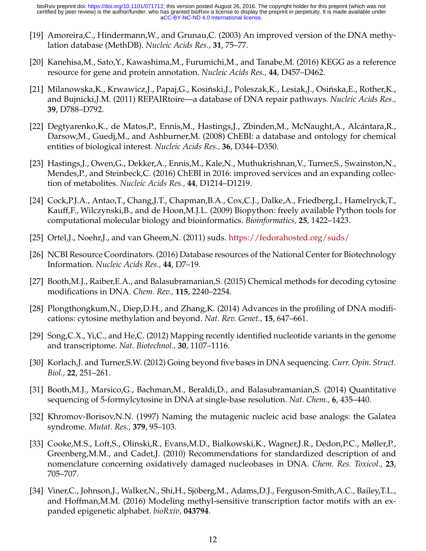- <span id="page-11-0"></span>[19] Amoreira,C., Hindermann,W., and Grunau,C. (2003) An improved version of the DNA methylation database (MethDB). *Nucleic Acids Res.,* **31**, 75–77.
- <span id="page-11-1"></span>[20] Kanehisa,M., Sato,Y., Kawashima,M., Furumichi,M., and Tanabe,M. (2016) KEGG as a reference resource for gene and protein annotation. *Nucleic Acids Res.,* **44**, D457–D462.
- <span id="page-11-2"></span>[21] Milanowska,K., Krwawicz,J., Papaj,G., Kosiński,J., Poleszak,K., Lesiak,J., Osińska,E., Rother,K., and Bujnicki,J.M. (2011) REPAIRtoire—a database of DNA repair pathways. *Nucleic Acids Res.,* **39**, D788–D792.
- <span id="page-11-3"></span>[22] Degtyarenko,K., de Matos,P., Ennis,M., Hastings,J., Zbinden,M., McNaught,A., Alcantara,R., ´ Darsow,M., Guedj,M., and Ashburner,M. (2008) ChEBI: a database and ontology for chemical entities of biological interest. *Nucleic Acids Res.,* **36**, D344–D350.
- <span id="page-11-4"></span>[23] Hastings,J., Owen,G., Dekker,A., Ennis,M., Kale,N., Muthukrishnan,V., Turner,S., Swainston,N., Mendes,P., and Steinbeck,C. (2016) ChEBI in 2016: improved services and an expanding collection of metabolites. *Nucleic Acids Res.,* **44**, D1214–D1219.
- <span id="page-11-5"></span>[24] Cock,P.J.A., Antao,T., Chang,J.T., Chapman,B.A., Cox,C.J., Dalke,A., Friedberg,I., Hamelryck,T., Kauff,F., Wilczynski,B., and de Hoon,M.J.L. (2009) Biopython: freely available Python tools for computational molecular biology and bioinformatics. *Bioinformatics,* **25**, 1422–1423.
- <span id="page-11-6"></span>[25] Ortel,J., Noehr,J., and van Gheem,N. (2011) suds. <https://fedorahosted.org/suds/>
- <span id="page-11-7"></span>[26] NCBI Resource Coordinators. (2016) Database resources of the National Center for Biotechnology Information. *Nucleic Acids Res.,* **44**, D7–19.
- <span id="page-11-8"></span>[27] Booth,M.J., Raiber,E.A., and Balasubramanian,S. (2015) Chemical methods for decoding cytosine modifications in DNA. *Chem. Rev.,* **115**, 2240–2254.
- [28] Plongthongkum,N., Diep,D.H., and Zhang,K. (2014) Advances in the profiling of DNA modifications: cytosine methylation and beyond. *Nat. Rev. Genet.,* **15**, 647–661.
- [29] Song,C.X., Yi,C., and He,C. (2012) Mapping recently identified nucleotide variants in the genome and transcriptome. *Nat. Biotechnol.,* **30**, 1107–1116.
- <span id="page-11-9"></span>[30] Korlach,J. and Turner,S.W. (2012) Going beyond five bases in DNA sequencing. *Curr. Opin. Struct. Biol.,* **22**, 251–261.
- <span id="page-11-10"></span>[31] Booth,M.J., Marsico,G., Bachman,M., Beraldi,D., and Balasubramanian,S. (2014) Quantitative sequencing of 5-formylcytosine in DNA at single-base resolution. *Nat. Chem.,* **6**, 435–440.
- <span id="page-11-11"></span>[32] Khromov-Borisov,N.N. (1997) Naming the mutagenic nucleic acid base analogs: the Galatea syndrome. *Mutat. Res.,* **379**, 95–103.
- <span id="page-11-12"></span>[33] Cooke,M.S., Loft,S., Olinski,R., Evans,M.D., Bialkowski,K., Wagner,J.R., Dedon,P.C., Møller,P., Greenberg,M.M., and Cadet,J. (2010) Recommendations for standardized description of and nomenclature concerning oxidatively damaged nucleobases in DNA. *Chem. Res. Toxicol.,* **23**, 705–707.
- <span id="page-11-13"></span>[34] Viner,C., Johnson,J., Walker,N., Shi,H., Sjoberg,M., Adams,D.J., Ferguson-Smith,A.C., Bailey,T.L., ¨ and Hoffman,M.M. (2016) Modeling methyl-sensitive transcription factor motifs with an expanded epigenetic alphabet. *bioRxiv,* **043794**.